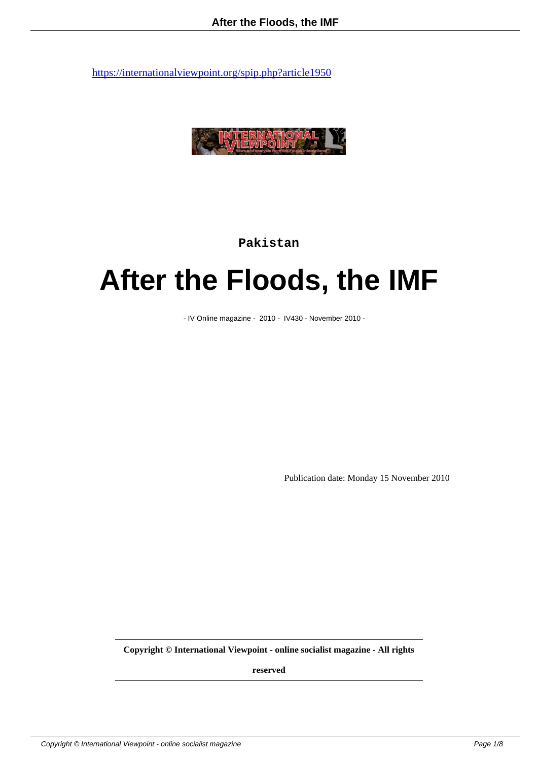

**Pakistan**

# **After the Floods, the IMF**

- IV Online magazine - 2010 - IV430 - November 2010 -

Publication date: Monday 15 November 2010

**Copyright © International Viewpoint - online socialist magazine - All rights**

**reserved**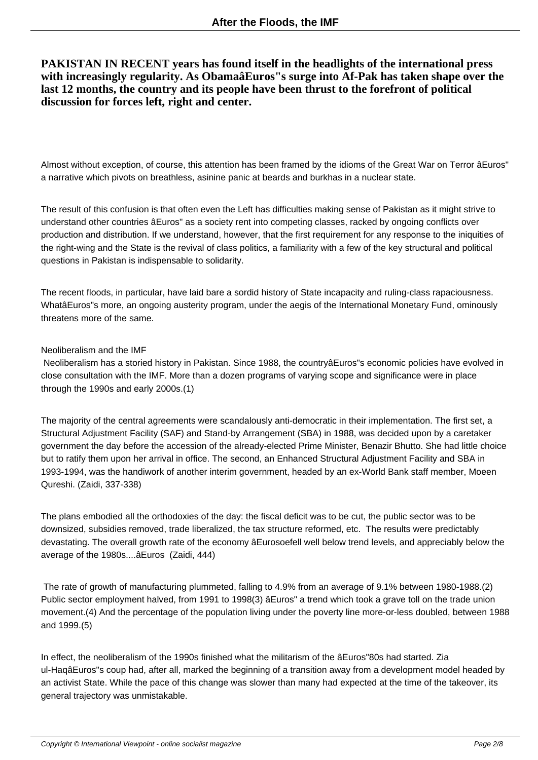# **PAKISTAN IN RECENT years has found itself in the headlights of the international press with increasingly regularity. As ObamaâEuros"s surge into Af-Pak has taken shape over the last 12 months, the country and its people have been thrust to the forefront of political discussion for forces left, right and center.**

Almost without exception, of course, this attention has been framed by the idioms of the Great War on Terror âEuros" a narrative which pivots on breathless, asinine panic at beards and burkhas in a nuclear state.

The result of this confusion is that often even the Left has difficulties making sense of Pakistan as it might strive to understand other countries âEuros" as a society rent into competing classes, racked by ongoing conflicts over production and distribution. If we understand, however, that the first requirement for any response to the iniquities of the right-wing and the State is the revival of class politics, a familiarity with a few of the key structural and political questions in Pakistan is indispensable to solidarity.

The recent floods, in particular, have laid bare a sordid history of State incapacity and ruling-class rapaciousness. WhatâEuros"s more, an ongoing austerity program, under the aegis of the International Monetary Fund, ominously threatens more of the same.

#### Neoliberalism and the IMF

 Neoliberalism has a storied history in Pakistan. Since 1988, the countryâEuros"s economic policies have evolved in close consultation with the IMF. More than a dozen programs of varying scope and significance were in place through the 1990s and early 2000s.(1)

The majority of the central agreements were scandalously anti-democratic in their implementation. The first set, a Structural Adjustment Facility (SAF) and Stand-by Arrangement (SBA) in 1988, was decided upon by a caretaker government the day before the accession of the already-elected Prime Minister, Benazir Bhutto. She had little choice but to ratify them upon her arrival in office. The second, an Enhanced Structural Adjustment Facility and SBA in 1993-1994, was the handiwork of another interim government, headed by an ex-World Bank staff member, Moeen Qureshi. (Zaidi, 337-338)

The plans embodied all the orthodoxies of the day: the fiscal deficit was to be cut, the public sector was to be downsized, subsidies removed, trade liberalized, the tax structure reformed, etc. The results were predictably devastating. The overall growth rate of the economy âEurosoefell well below trend levels, and appreciably below the average of the 1980s....âEuros (Zaidi, 444)

 The rate of growth of manufacturing plummeted, falling to 4.9% from an average of 9.1% between 1980-1988.(2) Public sector employment halved, from 1991 to 1998(3) âEuros" a trend which took a grave toll on the trade union movement.(4) And the percentage of the population living under the poverty line more-or-less doubled, between 1988 and 1999.(5)

In effect, the neoliberalism of the 1990s finished what the militarism of the âEuros"80s had started. Zia ul-HaqâEuros"s coup had, after all, marked the beginning of a transition away from a development model headed by an activist State. While the pace of this change was slower than many had expected at the time of the takeover, its general trajectory was unmistakable.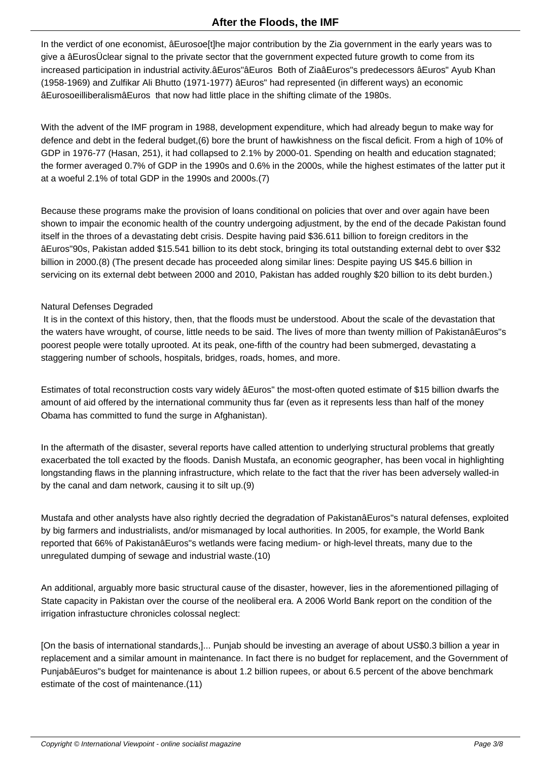In the verdict of one economist, âEurosoe[t]he major contribution by the Zia government in the early years was to give a âEurosÜclear signal to the private sector that the government expected future growth to come from its increased participation in industrial activity.âEuros"âEuros Both of ZiaâEuros"s predecessors âEuros" Ayub Khan (1958-1969) and Zulfikar Ali Bhutto (1971-1977) âEuros" had represented (in different ways) an economic âEurosoeilliberalismâEuros that now had little place in the shifting climate of the 1980s.

With the advent of the IMF program in 1988, development expenditure, which had already begun to make way for defence and debt in the federal budget,(6) bore the brunt of hawkishness on the fiscal deficit. From a high of 10% of GDP in 1976-77 (Hasan, 251), it had collapsed to 2.1% by 2000-01. Spending on health and education stagnated; the former averaged 0.7% of GDP in the 1990s and 0.6% in the 2000s, while the highest estimates of the latter put it at a woeful 2.1% of total GDP in the 1990s and 2000s.(7)

Because these programs make the provision of loans conditional on policies that over and over again have been shown to impair the economic health of the country undergoing adjustment, by the end of the decade Pakistan found itself in the throes of a devastating debt crisis. Despite having paid \$36.611 billion to foreign creditors in the âEuros"90s, Pakistan added \$15.541 billion to its debt stock, bringing its total outstanding external debt to over \$32 billion in 2000.(8) (The present decade has proceeded along similar lines: Despite paying US \$45.6 billion in servicing on its external debt between 2000 and 2010, Pakistan has added roughly \$20 billion to its debt burden.)

#### Natural Defenses Degraded

 It is in the context of this history, then, that the floods must be understood. About the scale of the devastation that the waters have wrought, of course, little needs to be said. The lives of more than twenty million of PakistanâEuros"s poorest people were totally uprooted. At its peak, one-fifth of the country had been submerged, devastating a staggering number of schools, hospitals, bridges, roads, homes, and more.

Estimates of total reconstruction costs vary widely âEuros" the most-often quoted estimate of \$15 billion dwarfs the amount of aid offered by the international community thus far (even as it represents less than half of the money Obama has committed to fund the surge in Afghanistan).

In the aftermath of the disaster, several reports have called attention to underlying structural problems that greatly exacerbated the toll exacted by the floods. Danish Mustafa, an economic geographer, has been vocal in highlighting longstanding flaws in the planning infrastructure, which relate to the fact that the river has been adversely walled-in by the canal and dam network, causing it to silt up.(9)

Mustafa and other analysts have also rightly decried the degradation of PakistanâEuros"s natural defenses, exploited by big farmers and industrialists, and/or mismanaged by local authorities. In 2005, for example, the World Bank reported that 66% of PakistanâEuros"s wetlands were facing medium- or high-level threats, many due to the unregulated dumping of sewage and industrial waste.(10)

An additional, arguably more basic structural cause of the disaster, however, lies in the aforementioned pillaging of State capacity in Pakistan over the course of the neoliberal era. A 2006 World Bank report on the condition of the irrigation infrastucture chronicles colossal neglect:

[On the basis of international standards,]... Punjab should be investing an average of about US\$0.3 billion a year in replacement and a similar amount in maintenance. In fact there is no budget for replacement, and the Government of PunjabâEuros"s budget for maintenance is about 1.2 billion rupees, or about 6.5 percent of the above benchmark estimate of the cost of maintenance.(11)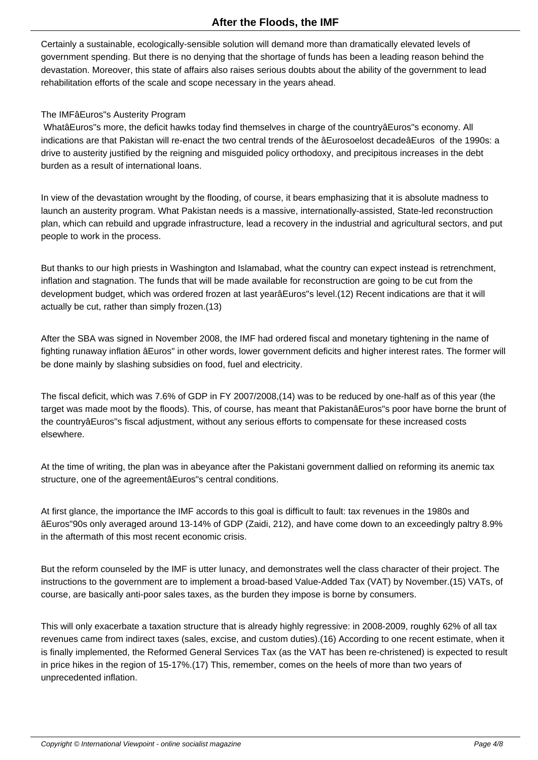Certainly a sustainable, ecologically-sensible solution will demand more than dramatically elevated levels of government spending. But there is no denying that the shortage of funds has been a leading reason behind the devastation. Moreover, this state of affairs also raises serious doubts about the ability of the government to lead rehabilitation efforts of the scale and scope necessary in the years ahead.

## The IMFâEuros"s Austerity Program

 WhatâEuros"s more, the deficit hawks today find themselves in charge of the countryâEuros"s economy. All indications are that Pakistan will re-enact the two central trends of the âEurosoelost decadeâEuros of the 1990s: a drive to austerity justified by the reigning and misguided policy orthodoxy, and precipitous increases in the debt burden as a result of international loans.

In view of the devastation wrought by the flooding, of course, it bears emphasizing that it is absolute madness to launch an austerity program. What Pakistan needs is a massive, internationally-assisted, State-led reconstruction plan, which can rebuild and upgrade infrastructure, lead a recovery in the industrial and agricultural sectors, and put people to work in the process.

But thanks to our high priests in Washington and Islamabad, what the country can expect instead is retrenchment, inflation and stagnation. The funds that will be made available for reconstruction are going to be cut from the development budget, which was ordered frozen at last yearâEuros"s level.(12) Recent indications are that it will actually be cut, rather than simply frozen.(13)

After the SBA was signed in November 2008, the IMF had ordered fiscal and monetary tightening in the name of fighting runaway inflation âEuros" in other words, lower government deficits and higher interest rates. The former will be done mainly by slashing subsidies on food, fuel and electricity.

The fiscal deficit, which was 7.6% of GDP in FY 2007/2008,(14) was to be reduced by one-half as of this year (the target was made moot by the floods). This, of course, has meant that PakistanâEuros"s poor have borne the brunt of the countryâEuros"s fiscal adjustment, without any serious efforts to compensate for these increased costs elsewhere.

At the time of writing, the plan was in abeyance after the Pakistani government dallied on reforming its anemic tax structure, one of the agreementâEuros"s central conditions.

At first glance, the importance the IMF accords to this goal is difficult to fault: tax revenues in the 1980s and âEuros"90s only averaged around 13-14% of GDP (Zaidi, 212), and have come down to an exceedingly paltry 8.9% in the aftermath of this most recent economic crisis.

But the reform counseled by the IMF is utter lunacy, and demonstrates well the class character of their project. The instructions to the government are to implement a broad-based Value-Added Tax (VAT) by November.(15) VATs, of course, are basically anti-poor sales taxes, as the burden they impose is borne by consumers.

This will only exacerbate a taxation structure that is already highly regressive: in 2008-2009, roughly 62% of all tax revenues came from indirect taxes (sales, excise, and custom duties).(16) According to one recent estimate, when it is finally implemented, the Reformed General Services Tax (as the VAT has been re-christened) is expected to result in price hikes in the region of 15-17%.(17) This, remember, comes on the heels of more than two years of unprecedented inflation.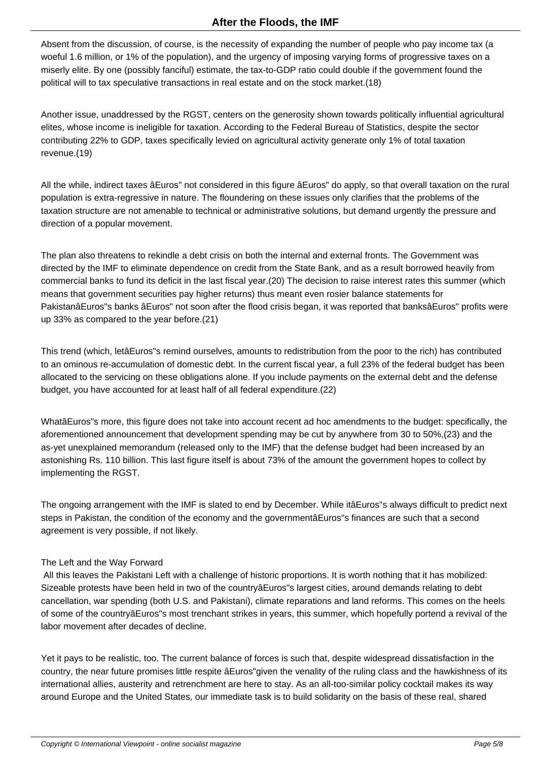Absent from the discussion, of course, is the necessity of expanding the number of people who pay income tax (a woeful 1.6 million, or 1% of the population), and the urgency of imposing varying forms of progressive taxes on a miserly elite. By one (possibly fanciful) estimate, the tax-to-GDP ratio could double if the government found the political will to tax speculative transactions in real estate and on the stock market.(18)

Another issue, unaddressed by the RGST, centers on the generosity shown towards politically influential agricultural elites, whose income is ineligible for taxation. According to the Federal Bureau of Statistics, despite the sector contributing 22% to GDP, taxes specifically levied on agricultural activity generate only 1% of total taxation revenue.(19)

All the while, indirect taxes âEuros" not considered in this figure âEuros" do apply, so that overall taxation on the rural population is extra-regressive in nature. The floundering on these issues only clarifies that the problems of the taxation structure are not amenable to technical or administrative solutions, but demand urgently the pressure and direction of a popular movement.

The plan also threatens to rekindle a debt crisis on both the internal and external fronts. The Government was directed by the IMF to eliminate dependence on credit from the State Bank, and as a result borrowed heavily from commercial banks to fund its deficit in the last fiscal year.(20) The decision to raise interest rates this summer (which means that government securities pay higher returns) thus meant even rosier balance statements for PakistanâEuros"s banks âEuros" not soon after the flood crisis began, it was reported that banksâEuros" profits were up 33% as compared to the year before.(21)

This trend (which, letâEuros"s remind ourselves, amounts to redistribution from the poor to the rich) has contributed to an ominous re-accumulation of domestic debt. In the current fiscal year, a full 23% of the federal budget has been allocated to the servicing on these obligations alone. If you include payments on the external debt and the defense budget, you have accounted for at least half of all federal expenditure.(22)

WhatâEuros"s more, this figure does not take into account recent ad hoc amendments to the budget: specifically, the aforementioned announcement that development spending may be cut by anywhere from 30 to 50%,(23) and the as-yet unexplained memorandum (released only to the IMF) that the defense budget had been increased by an astonishing Rs. 110 billion. This last figure itself is about 73% of the amount the government hopes to collect by implementing the RGST.

The ongoing arrangement with the IMF is slated to end by December. While itâEuros"s always difficult to predict next steps in Pakistan, the condition of the economy and the governmentâEuros"s finances are such that a second agreement is very possible, if not likely.

## The Left and the Way Forward

 All this leaves the Pakistani Left with a challenge of historic proportions. It is worth nothing that it has mobilized: Sizeable protests have been held in two of the countryâEuros"s largest cities, around demands relating to debt cancellation, war spending (both U.S. and Pakistani), climate reparations and land reforms. This comes on the heels of some of the countryâEuros"s most trenchant strikes in years, this summer, which hopefully portend a revival of the labor movement after decades of decline.

Yet it pays to be realistic, too. The current balance of forces is such that, despite widespread dissatisfaction in the country, the near future promises little respite âEuros"given the venality of the ruling class and the hawkishness of its international allies, austerity and retrenchment are here to stay. As an all-too-similar policy cocktail makes its way around Europe and the United States, our immediate task is to build solidarity on the basis of these real, shared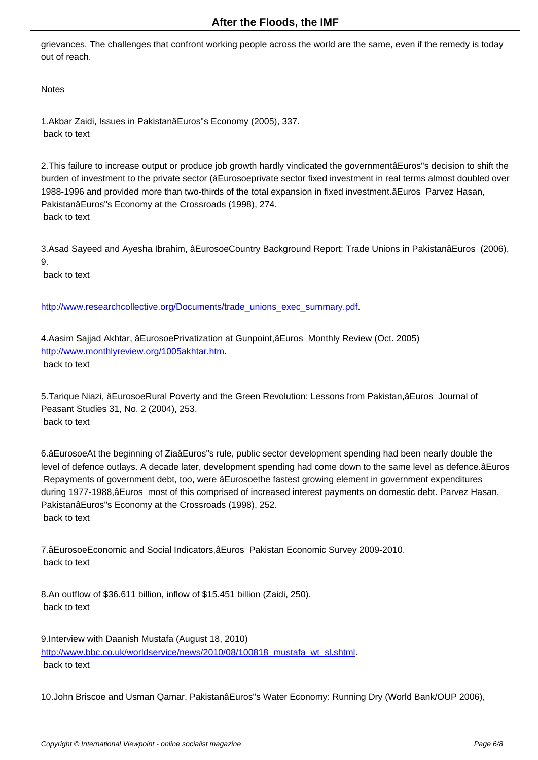grievances. The challenges that confront working people across the world are the same, even if the remedy is today out of reach.

**Notes** 

1.Akbar Zaidi, Issues in PakistanâEuros"s Economy (2005), 337. back to text

2.This failure to increase output or produce job growth hardly vindicated the governmentâEuros"s decision to shift the burden of investment to the private sector (âEurosoeprivate sector fixed investment in real terms almost doubled over 1988-1996 and provided more than two-thirds of the total expansion in fixed investment.âEuros Parvez Hasan, PakistanâEuros"s Economy at the Crossroads (1998), 274. back to text

3.Asad Sayeed and Ayesha Ibrahim, âEurosoeCountry Background Report: Trade Unions in PakistanâEuros (2006), 9.

back to text

http://www.researchcollective.org/Documents/trade\_unions\_exec\_summary.pdf.

4.Aasim Sajjad Akhtar, âEurosoePrivatization at Gunpoint,âEuros Monthly Review (Oct. 2005) [http://www.monthlyreview.org/1005akhtar.htm.](http://www.researchcollective.org/Documents/trade_unions_exec_summary.pdf) back to text

[5.Tarique Niazi, âEurosoeRural Poverty and th](http://www.monthlyreview.org/1005akhtar.htm)e Green Revolution: Lessons from Pakistan,âEuros Journal of Peasant Studies 31, No. 2 (2004), 253. back to text

6.âEurosoeAt the beginning of ZiaâEuros"s rule, public sector development spending had been nearly double the level of defence outlays. A decade later, development spending had come down to the same level as defence.âEuros Repayments of government debt, too, were âEurosoethe fastest growing element in government expenditures during 1977-1988,âEuros most of this comprised of increased interest payments on domestic debt. Parvez Hasan, PakistanâEuros"s Economy at the Crossroads (1998), 252. back to text

7.âEurosoeEconomic and Social Indicators,âEuros Pakistan Economic Survey 2009-2010. back to text

8.An outflow of \$36.611 billion, inflow of \$15.451 billion (Zaidi, 250). back to text

9.Interview with Daanish Mustafa (August 18, 2010) http://www.bbc.co.uk/worldservice/news/2010/08/100818\_mustafa\_wt\_sl.shtml. back to text

[10.John Briscoe and Usman Qamar, PakistanâEuros"s Water Economy: Runni](http://www.bbc.co.uk/worldservice/news/2010/08/100818_mustafa_wt_sl.shtml)ng Dry (World Bank/OUP 2006),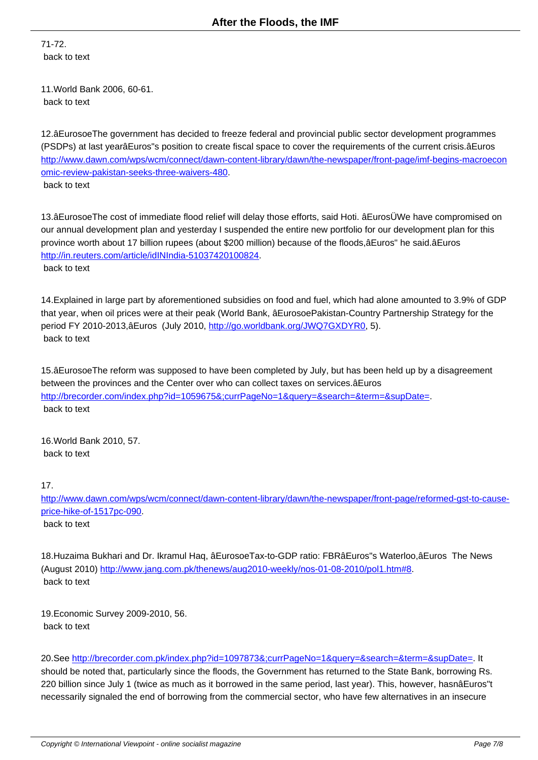71-72. back to text

11.World Bank 2006, 60-61. back to text

12.âEurosoeThe government has decided to freeze federal and provincial public sector development programmes (PSDPs) at last yearâEuros"s position to create fiscal space to cover the requirements of the current crisis.âEuros http://www.dawn.com/wps/wcm/connect/dawn-content-library/dawn/the-newspaper/front-page/imf-begins-macroecon omic-review-pakistan-seeks-three-waivers-480.

back to text

[13.âEurosoeThe cost of immediate flood relief](http://www.dawn.com/wps/wcm/connect/dawn-content-library/dawn/the-newspaper/front-page/imf-begins-macroeconomic-review-pakistan-seeks-three-waivers-480) will delay those efforts, said Hoti. âEurosÜWe have compromised on our annual development plan and yesterday I suspended the entire new portfolio for our development plan for this province worth about 17 billion rupees (about \$200 million) because of the floods,âEuros" he said.âEuros http://in.reuters.com/article/idINIndia-51037420100824. back to text

[14.Explained in large part by aforementioned subsidies](http://in.reuters.com/article/idINIndia-51037420100824) on food and fuel, which had alone amounted to 3.9% of GDP that year, when oil prices were at their peak (World Bank, âEurosoePakistan-Country Partnership Strategy for the period FY 2010-2013,âEuros (July 2010, http://go.worldbank.org/JWQ7GXDYR0, 5). back to text

15.âEurosoeThe reform was supposed to [have been completed by July, but has b](http://go.worldbank.org/JWQ7GXDYR0)een held up by a disagreement between the provinces and the Center over who can collect taxes on services.âEuros http://brecorder.com/index.php?id=1059675&;currPageNo=1&query=&search=&term=&supDate=. back to text

[16.World Bank 2010, 57.](http://brecorder.com/index.php?id=1059675&;currPageNo=1&query=&search=&term=&supDate=) back to text

17.

http://www.dawn.com/wps/wcm/connect/dawn-content-library/dawn/the-newspaper/front-page/reformed-gst-to-causeprice-hike-of-1517pc-090. back to text

[18.Huzaima Bukhari and](http://www.dawn.com/wps/wcm/connect/dawn-content-library/dawn/the-newspaper/front-page/reformed-gst-to-cause-price-hike-of-1517pc-090) Dr. Ikramul Haq, âEurosoeTax-to-GDP ratio: FBRâEuros"s Waterloo,âEuros The News (August 2010) http://www.jang.com.pk/thenews/aug2010-weekly/nos-01-08-2010/pol1.htm#8. back to text

19.Economic [Survey 2009-2010, 56.](http://www.jang.com.pk/thenews/aug2010-weekly/nos-01-08-2010/pol1.htm#8) back to text

20.See http://brecorder.com.pk/index.php?id=1097873&;currPageNo=1&query=&search=&term=&supDate=. It should be noted that, particularly since the floods, the Government has returned to the State Bank, borrowing Rs. 220 billion since July 1 (twice as much as it borrowed in the same period, last year). This, however, hasnâEuros"t necess[arily signaled the end of borrowing from the commercial sector, who have few alternatives in an insec](http://brecorder.com.pk/index.php?id=1097873&;currPageNo=1&query=&search=&term=&supDate=)ure